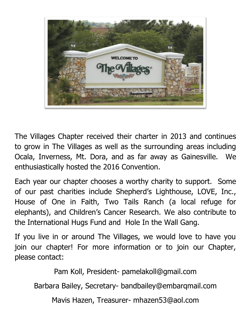

The Villages Chapter received their charter in 2013 and continues to grow in The Villages as well as the surrounding areas including Ocala, Inverness, Mt. Dora, and as far away as Gainesville. We enthusiastically hosted the 2016 Convention.

Each year our chapter chooses a worthy charity to support. Some of our past charities include Shepherd's Lighthouse, LOVE, Inc., House of One in Faith, Two Tails Ranch (a local refuge for elephants), and Children's Cancer Research. We also contribute to the International Hugs Fund and Hole In the Wall Gang.

If you live in or around The Villages, we would love to have you join our chapter! For more information or to join our Chapter, please contact:

Pam Koll, President- [pamelakoll@gmail.com](mailto:pamelakoll@gmail.com)

Barbara Bailey, Secretary- [bandbailey@embarqmail.com](mailto:bandbailey@embarqmail.com)

Mavis Hazen, Treasurer- mhazen53@aol.com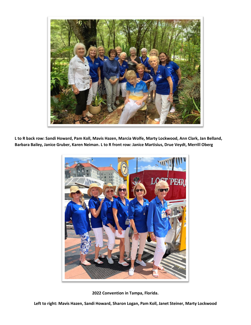

**L to R back row: Sandi Howard, Pam Koll, Mavis Hazen, Marcia Wolfe, Marty Lockwood, Ann Clark, Jan Belland, Barbara Bailey, Janice Gruber, Karen Neiman. L to R front row: Janice Martisius, Drue Veydt, Merrill Oberg**



**2022 Convention in Tampa, Florida.**

**Left to right: Mavis Hazen, Sandi Howard, Sharon Logan, Pam Koll, Janet Steiner, Marty Lockwood**